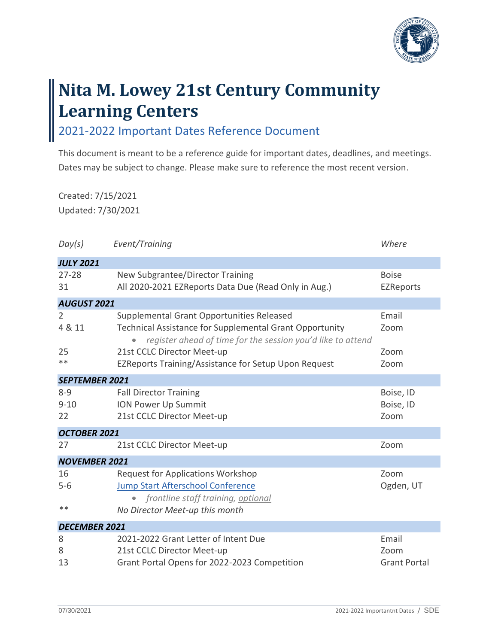

## **Nita M. Lowey 21st Century Community Learning Centers**

2021-2022 Important Dates Reference Document

This document is meant to be a reference guide for important dates, deadlines, and meetings. Dates may be subject to change. Please make sure to reference the most recent version.

Created: 7/15/2021 Updated: 7/30/2021

| Day(s)                    | Event/Training                                                                                                                                                             | Where                                |  |  |  |
|---------------------------|----------------------------------------------------------------------------------------------------------------------------------------------------------------------------|--------------------------------------|--|--|--|
| <b>JULY 2021</b>          |                                                                                                                                                                            |                                      |  |  |  |
| $27 - 28$<br>31           | New Subgrantee/Director Training<br>All 2020-2021 EZReports Data Due (Read Only in Aug.)                                                                                   | <b>Boise</b><br><b>EZReports</b>     |  |  |  |
| <b>AUGUST 2021</b>        |                                                                                                                                                                            |                                      |  |  |  |
| 2<br>4 & 11               | Supplemental Grant Opportunities Released<br><b>Technical Assistance for Supplemental Grant Opportunity</b><br>register ahead of time for the session you'd like to attend | Email<br>Zoom                        |  |  |  |
| 25                        | 21st CCLC Director Meet-up                                                                                                                                                 | Zoom                                 |  |  |  |
| **                        | EZReports Training/Assistance for Setup Upon Request                                                                                                                       | Zoom                                 |  |  |  |
| <b>SEPTEMBER 2021</b>     |                                                                                                                                                                            |                                      |  |  |  |
| $8 - 9$<br>$9 - 10$<br>22 | <b>Fall Director Training</b><br><b>ION Power Up Summit</b><br>21st CCLC Director Meet-up                                                                                  | Boise, ID<br>Boise, ID<br>Zoom       |  |  |  |
| OCTOBER 2021              |                                                                                                                                                                            |                                      |  |  |  |
| 27                        | 21st CCLC Director Meet-up                                                                                                                                                 | Zoom                                 |  |  |  |
| <b>NOVEMBER 2021</b>      |                                                                                                                                                                            |                                      |  |  |  |
| 16<br>$5 - 6$<br>$**$     | <b>Request for Applications Workshop</b><br><b>Jump Start Afterschool Conference</b><br>frontline staff training, optional<br>No Director Meet-up this month               | Zoom<br>Ogden, UT                    |  |  |  |
| <b>DECEMBER 2021</b>      |                                                                                                                                                                            |                                      |  |  |  |
| 8<br>8<br>13              | 2021-2022 Grant Letter of Intent Due<br>21st CCLC Director Meet-up<br>Grant Portal Opens for 2022-2023 Competition                                                         | Email<br>Zoom<br><b>Grant Portal</b> |  |  |  |